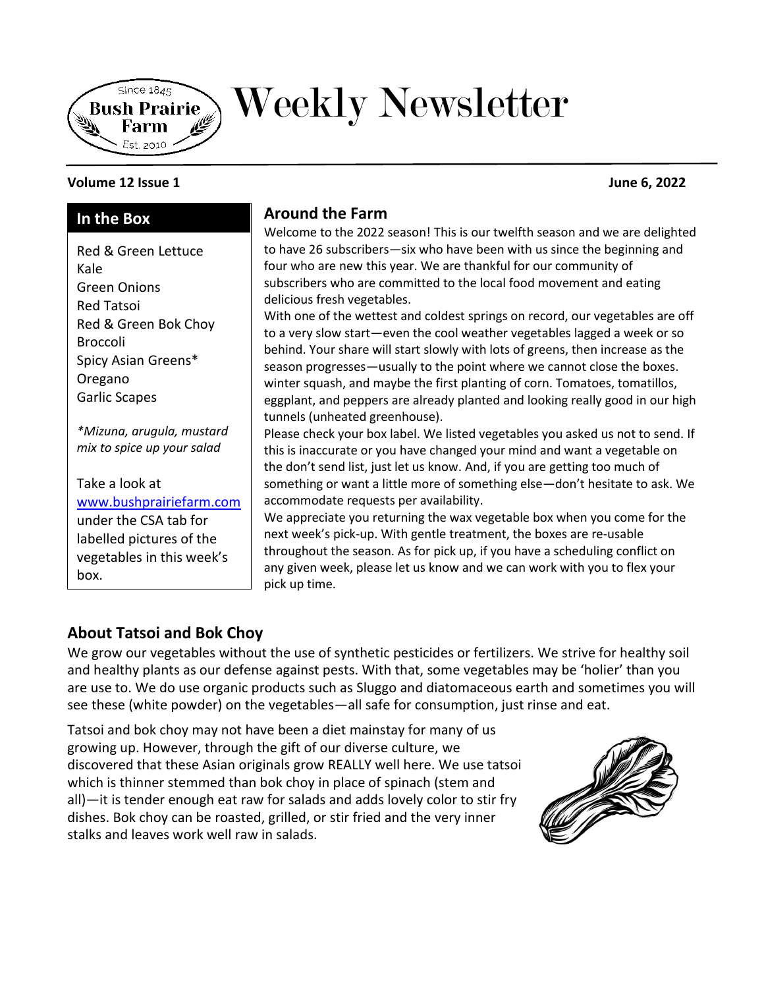

# Weekly Newsletter

#### **Volume 12 Issue 1 June 6, 2022**

## **In the Box**

Red & Green Lettuce Kale Green Onions Red Tatsoi Red & Green Bok Choy Broccoli Spicy Asian Greens\* Oregano Garlic Scapes

*\*Mizuna, arugula, mustard mix to spice up your salad*

Take a look at [www.bushprairiefarm.com](http://www.bushprairiefarm.com/)  under the CSA tab for labelled pictures of the vegetables in this week's box.

# **Around the Farm**

Welcome to the 2022 season! This is our twelfth season and we are delighted to have 26 subscribers—six who have been with us since the beginning and four who are new this year. We are thankful for our community of subscribers who are committed to the local food movement and eating delicious fresh vegetables.

With one of the wettest and coldest springs on record, our vegetables are off to a very slow start—even the cool weather vegetables lagged a week or so behind. Your share will start slowly with lots of greens, then increase as the season progresses—usually to the point where we cannot close the boxes. winter squash, and maybe the first planting of corn. Tomatoes, tomatillos, eggplant, and peppers are already planted and looking really good in our high tunnels (unheated greenhouse).

Please check your box label. We listed vegetables you asked us not to send. If this is inaccurate or you have changed your mind and want a vegetable on the don't send list, just let us know. And, if you are getting too much of something or want a little more of something else—don't hesitate to ask. We accommodate requests per availability.

We appreciate you returning the wax vegetable box when you come for the next week's pick-up. With gentle treatment, the boxes are re-usable throughout the season. As for pick up, if you have a scheduling conflict on any given week, please let us know and we can work with you to flex your pick up time.

# **About Tatsoi and Bok Choy**

We grow our vegetables without the use of synthetic pesticides or fertilizers. We strive for healthy soil and healthy plants as our defense against pests. With that, some vegetables may be 'holier' than you are use to. We do use organic products such as Sluggo and diatomaceous earth and sometimes you will see these (white powder) on the vegetables—all safe for consumption, just rinse and eat.

Tatsoi and bok choy may not have been a diet mainstay for many of us growing up. However, through the gift of our diverse culture, we discovered that these Asian originals grow REALLY well here. We use tatsoi which is thinner stemmed than bok choy in place of spinach (stem and all)—it is tender enough eat raw for salads and adds lovely color to stir fry dishes. Bok choy can be roasted, grilled, or stir fried and the very inner stalks and leaves work well raw in salads.